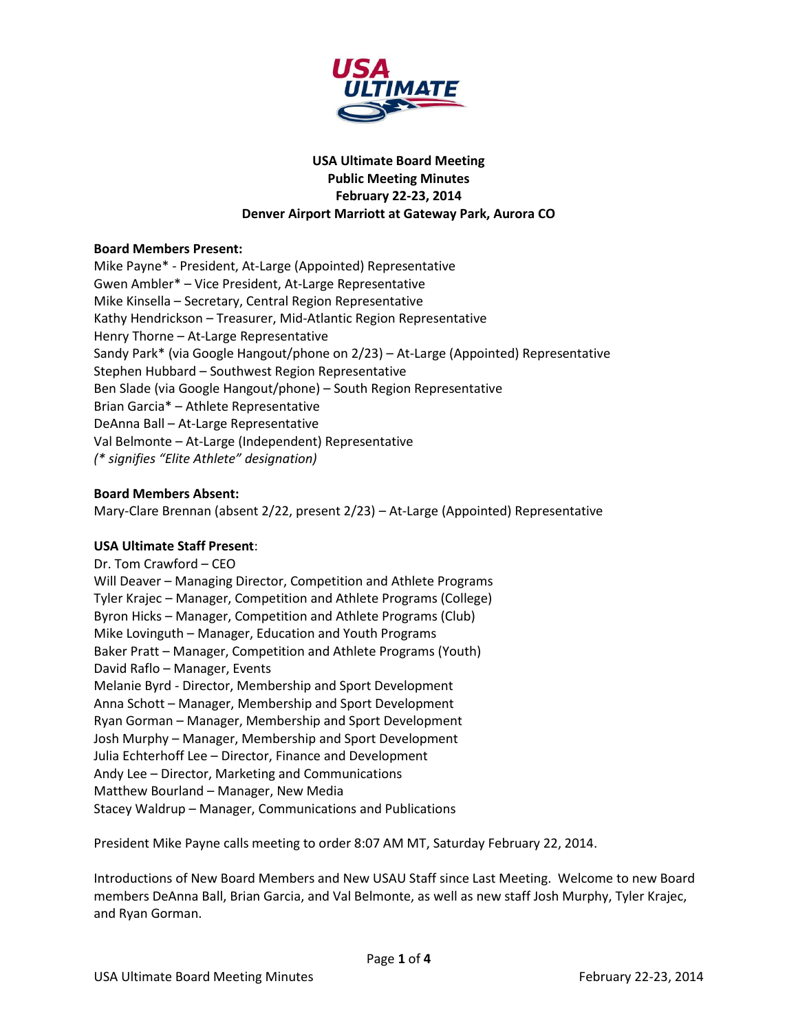

# **USA Ultimate Board Meeting Public Meeting Minutes February 22-23, 2014 Denver Airport Marriott at Gateway Park, Aurora CO**

#### **Board Members Present:**

Mike Payne\* - President, At-Large (Appointed) Representative Gwen Ambler\* – Vice President, At-Large Representative Mike Kinsella – Secretary, Central Region Representative Kathy Hendrickson – Treasurer, Mid-Atlantic Region Representative Henry Thorne – At-Large Representative Sandy Park\* (via Google Hangout/phone on 2/23) – At-Large (Appointed) Representative Stephen Hubbard – Southwest Region Representative Ben Slade (via Google Hangout/phone) – South Region Representative Brian Garcia\* – Athlete Representative DeAnna Ball – At-Large Representative Val Belmonte – At-Large (Independent) Representative *(\* signifies "Elite Athlete" designation)*

#### **Board Members Absent:**

Mary-Clare Brennan (absent 2/22, present 2/23) – At-Large (Appointed) Representative

# **USA Ultimate Staff Present**:

Dr. Tom Crawford – CEO Will Deaver – Managing Director, Competition and Athlete Programs Tyler Krajec – Manager, Competition and Athlete Programs (College) Byron Hicks – Manager, Competition and Athlete Programs (Club) Mike Lovinguth – Manager, Education and Youth Programs Baker Pratt – Manager, Competition and Athlete Programs (Youth) David Raflo – Manager, Events Melanie Byrd - Director, Membership and Sport Development Anna Schott – Manager, Membership and Sport Development Ryan Gorman – Manager, Membership and Sport Development Josh Murphy – Manager, Membership and Sport Development Julia Echterhoff Lee – Director, Finance and Development Andy Lee – Director, Marketing and Communications Matthew Bourland – Manager, New Media Stacey Waldrup – Manager, Communications and Publications

President Mike Payne calls meeting to order 8:07 AM MT, Saturday February 22, 2014.

Introductions of New Board Members and New USAU Staff since Last Meeting. Welcome to new Board members DeAnna Ball, Brian Garcia, and Val Belmonte, as well as new staff Josh Murphy, Tyler Krajec, and Ryan Gorman.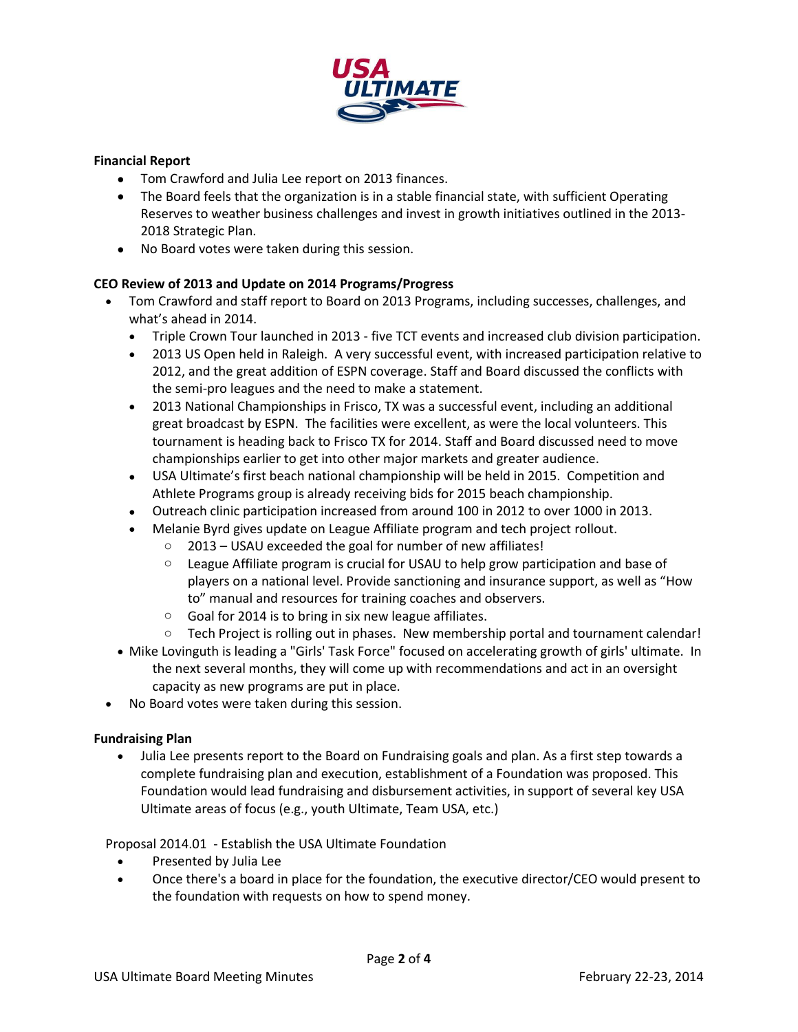

# **Financial Report**

- Tom Crawford and Julia Lee report on 2013 finances.
- The Board feels that the organization is in a stable financial state, with sufficient Operating Reserves to weather business challenges and invest in growth initiatives outlined in the 2013- 2018 Strategic Plan.
- No Board votes were taken during this session.

# **CEO Review of 2013 and Update on 2014 Programs/Progress**

- Tom Crawford and staff report to Board on 2013 Programs, including successes, challenges, and what's ahead in 2014.
	- Triple Crown Tour launched in 2013 five TCT events and increased club division participation.
	- 2013 US Open held in Raleigh. A very successful event, with increased participation relative to 2012, and the great addition of ESPN coverage. Staff and Board discussed the conflicts with the semi-pro leagues and the need to make a statement.
	- 2013 National Championships in Frisco, TX was a successful event, including an additional great broadcast by ESPN. The facilities were excellent, as were the local volunteers. This tournament is heading back to Frisco TX for 2014. Staff and Board discussed need to move championships earlier to get into other major markets and greater audience.
	- USA Ultimate's first beach national championship will be held in 2015. Competition and Athlete Programs group is already receiving bids for 2015 beach championship.
	- Outreach clinic participation increased from around 100 in 2012 to over 1000 in 2013.
	- Melanie Byrd gives update on League Affiliate program and tech project rollout.
		- $\circ$  2013 USAU exceeded the goal for number of new affiliates!
		- $\circ$  League Affiliate program is crucial for USAU to help grow participation and base of players on a national level. Provide sanctioning and insurance support, as well as "How to" manual and resources for training coaches and observers.
		- $\circ$  Goal for 2014 is to bring in six new league affiliates.
		- o Tech Project is rolling out in phases. New membership portal and tournament calendar!
	- Mike Lovinguth is leading a "Girls' Task Force" focused on accelerating growth of girls' ultimate. In the next several months, they will come up with recommendations and act in an oversight capacity as new programs are put in place.
- No Board votes were taken during this session.

#### **Fundraising Plan**

 Julia Lee presents report to the Board on Fundraising goals and plan. As a first step towards a complete fundraising plan and execution, establishment of a Foundation was proposed. This Foundation would lead fundraising and disbursement activities, in support of several key USA Ultimate areas of focus (e.g., youth Ultimate, Team USA, etc.)

Proposal 2014.01 - Establish the USA Ultimate Foundation

- Presented by Julia Lee
- Once there's a board in place for the foundation, the executive director/CEO would present to the foundation with requests on how to spend money.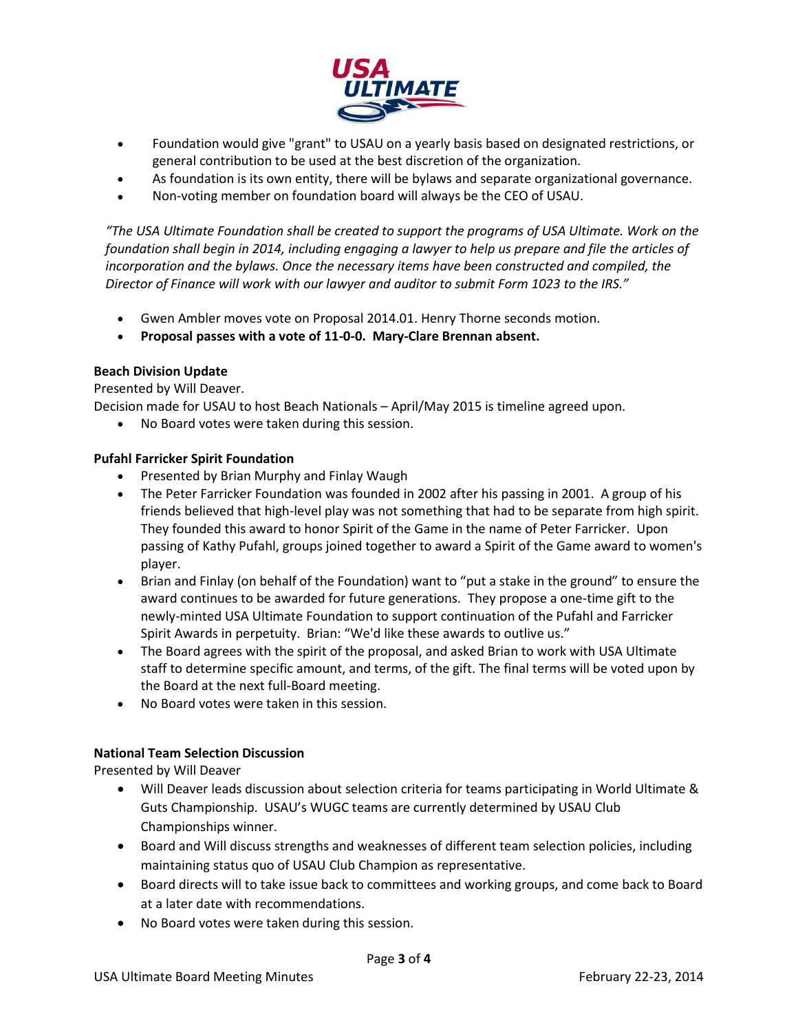

- Foundation would give "grant" to USAU on a yearly basis based on designated restrictions, or general contribution to be used at the best discretion of the organization.
- As foundation is its own entity, there will be bylaws and separate organizational governance.
- Non-voting member on foundation board will always be the CEO of USAU.

*"The USA Ultimate Foundation shall be created to support the programs of USA Ultimate. Work on the foundation shall begin in 2014, including engaging a lawyer to help us prepare and file the articles of incorporation and the bylaws. Once the necessary items have been constructed and compiled, the Director of Finance will work with our lawyer and auditor to submit Form 1023 to the IRS."*

- Gwen Ambler moves vote on Proposal 2014.01. Henry Thorne seconds motion.
- **Proposal passes with a vote of 11-0-0. Mary-Clare Brennan absent.**

# **Beach Division Update**

Presented by Will Deaver.

Decision made for USAU to host Beach Nationals – April/May 2015 is timeline agreed upon.

No Board votes were taken during this session.

# **Pufahl Farricker Spirit Foundation**

- Presented by Brian Murphy and Finlay Waugh
- The Peter Farricker Foundation was founded in 2002 after his passing in 2001. A group of his friends believed that high-level play was not something that had to be separate from high spirit. They founded this award to honor Spirit of the Game in the name of Peter Farricker. Upon passing of Kathy Pufahl, groups joined together to award a Spirit of the Game award to women's player.
- Brian and Finlay (on behalf of the Foundation) want to "put a stake in the ground" to ensure the award continues to be awarded for future generations. They propose a one-time gift to the newly-minted USA Ultimate Foundation to support continuation of the Pufahl and Farricker Spirit Awards in perpetuity. Brian: "We'd like these awards to outlive us."
- The Board agrees with the spirit of the proposal, and asked Brian to work with USA Ultimate staff to determine specific amount, and terms, of the gift. The final terms will be voted upon by the Board at the next full-Board meeting.
- No Board votes were taken in this session.

#### **National Team Selection Discussion**

Presented by Will Deaver

- Will Deaver leads discussion about selection criteria for teams participating in World Ultimate & Guts Championship. USAU's WUGC teams are currently determined by USAU Club Championships winner.
- Board and Will discuss strengths and weaknesses of different team selection policies, including maintaining status quo of USAU Club Champion as representative.
- Board directs will to take issue back to committees and working groups, and come back to Board at a later date with recommendations.
- No Board votes were taken during this session.